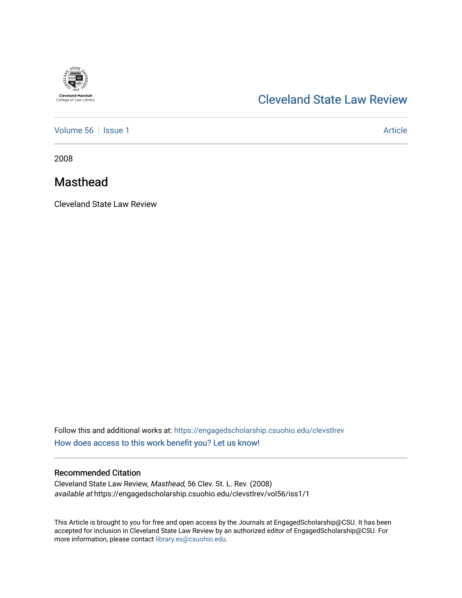

## [Cleveland State Law Review](https://engagedscholarship.csuohio.edu/clevstlrev)

[Volume 56](https://engagedscholarship.csuohio.edu/clevstlrev/vol56) | [Issue 1](https://engagedscholarship.csuohio.edu/clevstlrev/vol56/iss1) Article

2008

### Masthead

Cleveland State Law Review

Follow this and additional works at: [https://engagedscholarship.csuohio.edu/clevstlrev](https://engagedscholarship.csuohio.edu/clevstlrev?utm_source=engagedscholarship.csuohio.edu%2Fclevstlrev%2Fvol56%2Fiss1%2F1&utm_medium=PDF&utm_campaign=PDFCoverPages) [How does access to this work benefit you? Let us know!](http://library.csuohio.edu/engaged/)

#### Recommended Citation

Cleveland State Law Review, Masthead, 56 Clev. St. L. Rev. (2008) available at https://engagedscholarship.csuohio.edu/clevstlrev/vol56/iss1/1

This Article is brought to you for free and open access by the Journals at EngagedScholarship@CSU. It has been accepted for inclusion in Cleveland State Law Review by an authorized editor of EngagedScholarship@CSU. For more information, please contact [library.es@csuohio.edu](mailto:library.es@csuohio.edu).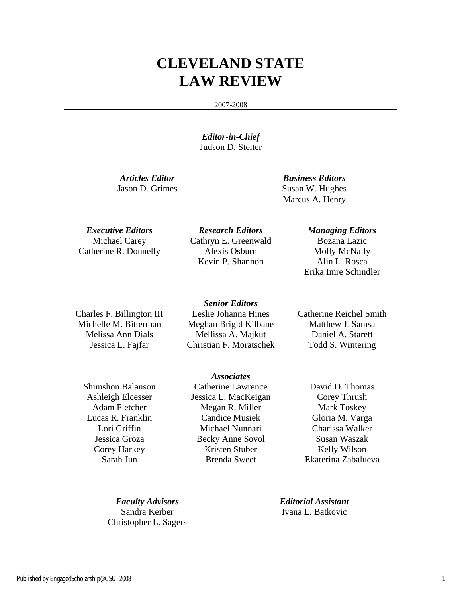# **CLEVELAND STATE LAW REVIEW**

#### 2007-2008

*Editor-in-Chief*  Judson D. Stelter

*Articles Editor Business Editors*  Jason D. Grimes Susan W. Hughes Marcus A. Henry

Michael Carey Catherine R. Donnelly

*Executive Editors Research Editors Managing Editors*  Cathryn E. Greenwald Alexis Osburn Kevin P. Shannon

Bozana Lazic Molly McNally Alin L. Rosca Erika Imre Schindler

Charles F. Billington III Michelle M. Bitterman Melissa Ann Dials Jessica L. Fajfar

*Senior Editors*  Leslie Johanna Hines Meghan Brigid Kilbane Mellissa A. Majkut Christian F. Moratschek

Catherine Reichel Smith Matthew J. Samsa Daniel A. Starett Todd S. Wintering

Shimshon Balanson Ashleigh Elcesser Adam Fletcher Lucas R. Franklin Lori Griffin Jessica Groza Corey Harkey Sarah Jun

*Associates*  Catherine Lawrence Jessica L. MacKeigan Megan R. Miller Candice Musiek Michael Nunnari Becky Anne Sovol Kristen Stuber Brenda Sweet

David D. Thomas Corey Thrush Mark Toskey Gloria M. Varga Charissa Walker Susan Waszak Kelly Wilson Ekaterina Zabalueva

Sandra Kerber Christopher L. Sagers

*Faculty Advisors Editorial Assistant*  Ivana L. Batkovic